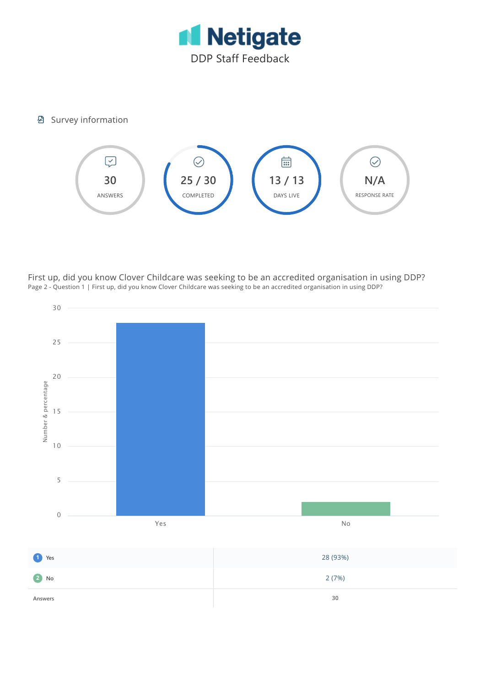

## **图 Survey information**



First up, did you know Clover Childcare was seeking to be an accredited organisation in using DDP? Page 2 - Question 1 | First up, did you know Clover Childcare was seeking to be an accredited organisation in using DDP?

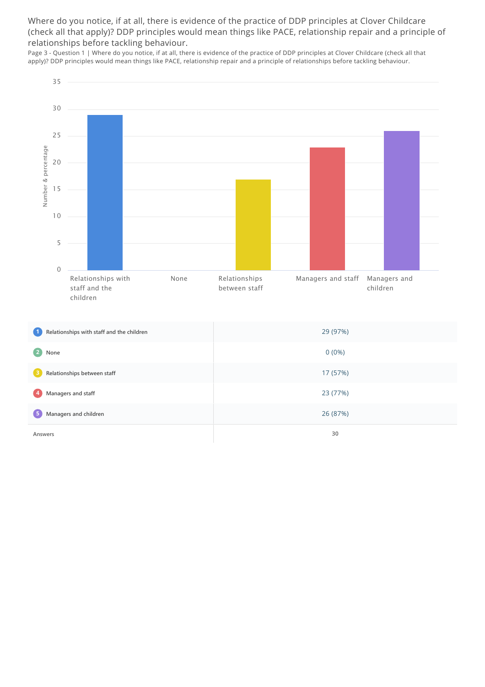Where do you notice, if at all, there is evidence of the practice of DDP principles at Clover Childcare (check all that apply)? DDP principles would mean things like PACE, relationship repair and a principle of relationships before tackling behaviour.

Page 3 - Question 1 | Where do you notice, if at all, there is evidence of the practice of DDP principles at Clover Childcare (check all that apply)? DDP principles would mean things like PACE, relationship repair and a principle of relationships before tackling behaviour.



| 4 Managers and staff    | 23 (77%) |
|-------------------------|----------|
| 5 Managers and children | 26 (87%) |
| Answers                 | 30       |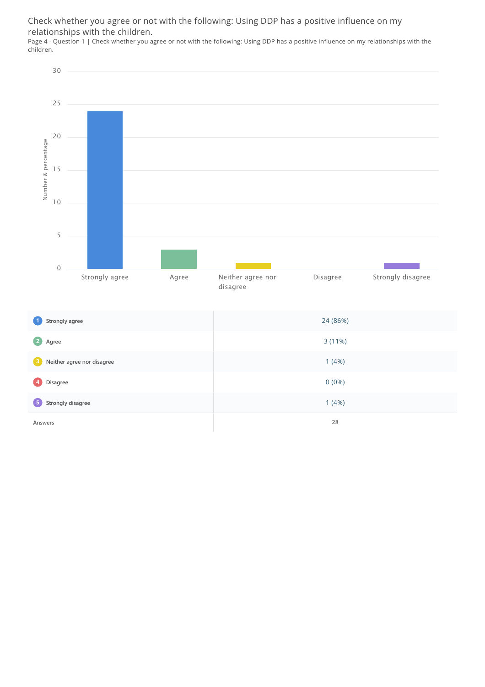Check whether you agree or not with the following: Using DDP has a positive influence on my relationships with the children.

Page 4 - Question 1 | Check whether you agree or not with the following: Using DDP has a positive influence on my relationships with the children.



| Strongly agree<br>$\mathbf{1}$      | 24 (86%) |
|-------------------------------------|----------|
| 2<br>Agree                          | 3(11%)   |
| <b>B</b> Neither agree nor disagree | 1(4%)    |
| $\left  \bm{A} \right $<br>Disagree | $0(0\%)$ |
| 5 Strongly disagree                 | 1(4%)    |
| Answers                             | 28       |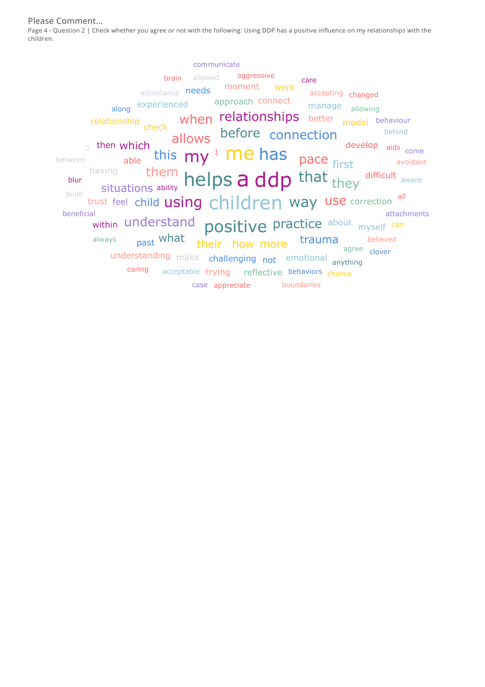Please Comment...

Page 4 - Question 2 | Check whether you agree or not with the following: Using DDP has a positive influence on my relationships with the children.

them helps a ddp that trust feel child using children way use correction all  $_{\sf able}^{\sf willCH}$  this  $\sf my^{\sf 1}$  Me has within understand positive practice about myself can allows before connection pace first when relationships better model behaviour situations ability **Neips d Qup** that they what their how more trauma  $_2$  then which along experienced approach connect manage allowing understanding make challenging not emotional anything relationship<br>check develop aids come difficult aware having manage allowing acceptance **needs** moment work accepting past what acceptable trying reflective behaviors chance 1 ability **brain** allowed **aggressive** agree always case appreciate boundaries attachments avoidant behind believed beneficial between blur build care caring accepting changed clover communicate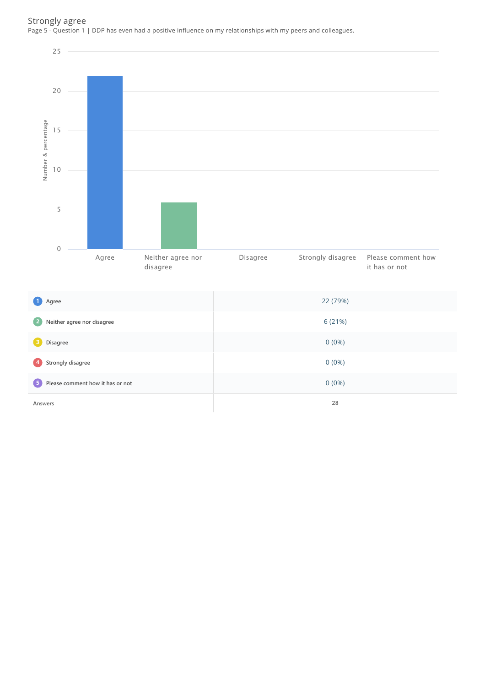### Strongly agree Page 5 - Question 1 | DDP has even had a positive influence on my relationships with my peers and colleagues.

**5 Please comment how it has or not** 0 (0%)

**Answers 28**

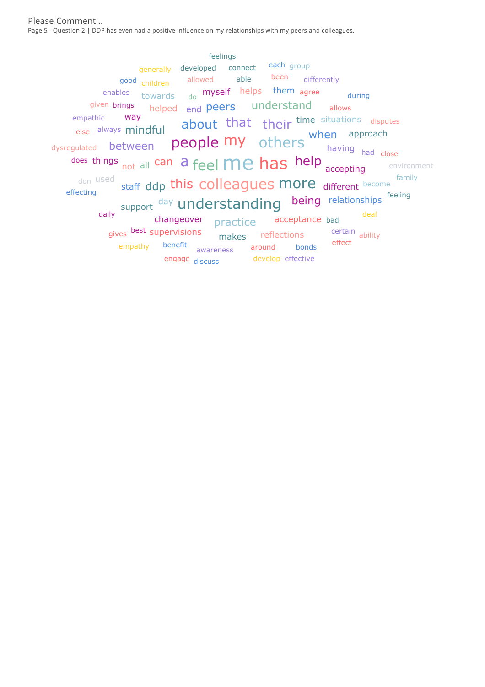Please Comment... Page 5 - Question 2 | DDP has even had a positive influence on my relationships with my peers and colleagues.

does things <sub>not all</sub> can a feel **Me has** help  $\frac{1}{\text{accepting}}$ staff ddp this colleagues more different become people my others when support <sup>day</sup> understanding about that their time situations disputes being relationships helped end peers understand changeover <sub>practice</sub> acceptance dysregulated **between** else always mindful having towards <sub>do</sub> m**yself** helps them <sub>agree</sub> makes reflections <sub>gives</sub> <sup>best</sup> supervisions <sub>don</sub> used way approach had able good children allowed allows empathy benefit awareness around acceptance bad been differently bonds given brings certain abilityhaving had close generally developed connect daily deal and the contract of the contract of the deal deal and deal deal of the contract of the deal of the contract of the contract of the contract of the contract of the contract of the contract of the contract of the develop effective engage <sub>discuss</sub> during each group effect effecting empathic enables environment family feeling feelings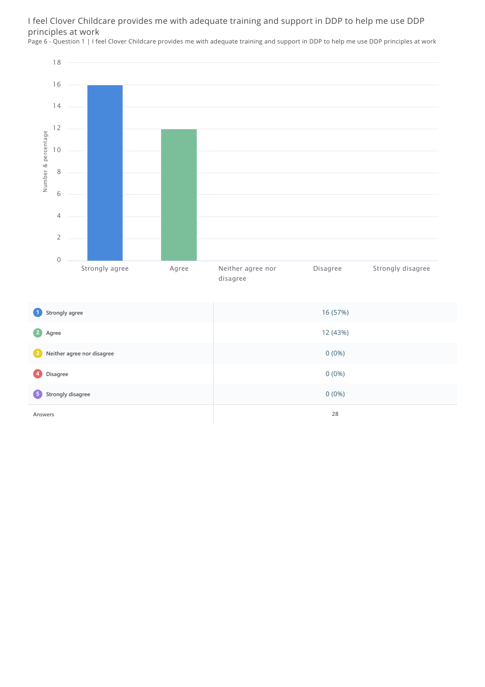# I feel Clover Childcare provides me with adequate training and support in DDP to help me use DDP principles at work

Page 6 - Question 1 | I feel Clover Childcare provides me with adequate training and support in DDP to help me use DDP principles at work

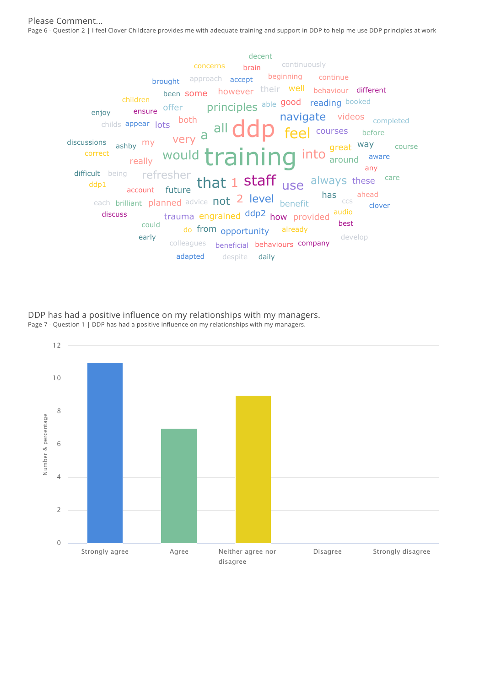Please Comment... Page 6 - Question 2 | I feel Clover Childcare provides me with adequate training and support in DDP to help me use DDP principles at work



DDP has had a positive influence on my relationships with my managers. Page 7 - Question 1 | DDP has had a positive influence on my relationships with my managers.

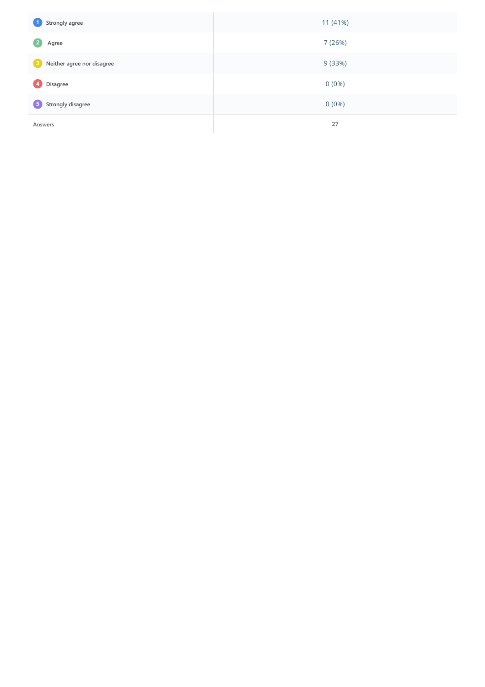| 0<br>Strongly agree             | 11 (41%) |
|---------------------------------|----------|
| $\left( 2\right)$<br>Agree      | 7 (26%)  |
| €<br>Neither agree nor disagree | 9 (33%)  |
| $\left  \right $<br>Disagree    | $0(0\%)$ |
| 5 Strongly disagree             | $0(0\%)$ |
| Answers                         | 27       |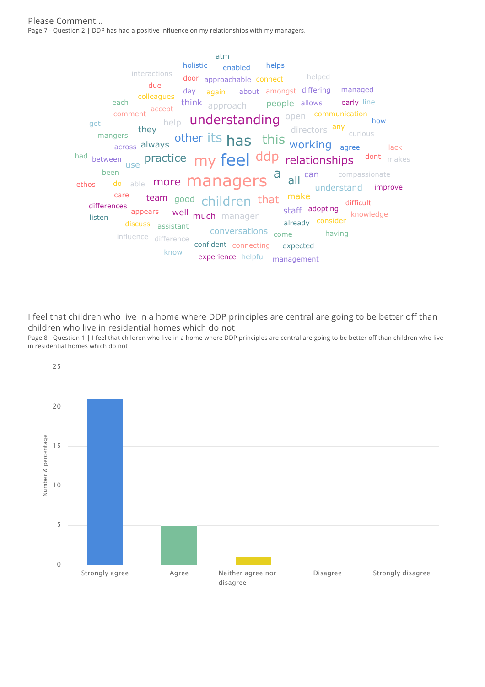#### Please Comment... Page 7 - Question 2 | DDP has had a positive influence on my relationships with my managers.



I feel that children who live in a home where DDP principles are central are going to be better off than children who live in residential homes which do not

Page 8 - Question 1 | I feel that children who live in a home where DDP principles are central are going to be better off than children who live in residential homes which do not

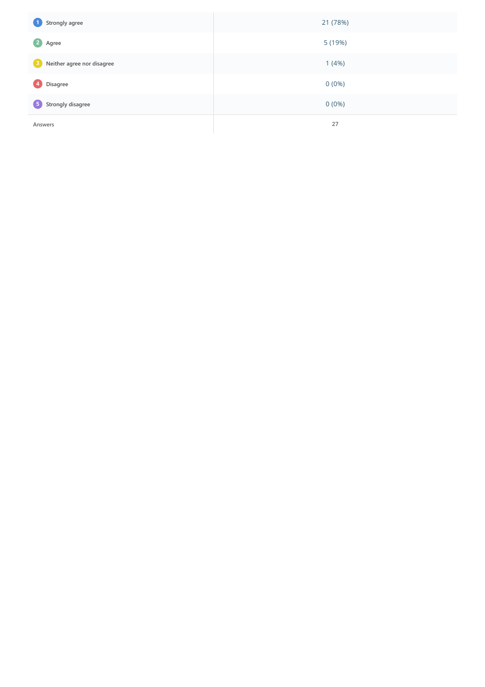| $\bullet$<br>Strongly agree             | 21 (78%) |
|-----------------------------------------|----------|
| $\mathbf{2}$<br>Agree                   | 5 (19%)  |
| <sup>3</sup> Neither agree nor disagree | 1(4%)    |
| Ø<br>Disagree                           | $0(0\%)$ |
| 5 Strongly disagree                     | $0(0\%)$ |
| Answers                                 | 27       |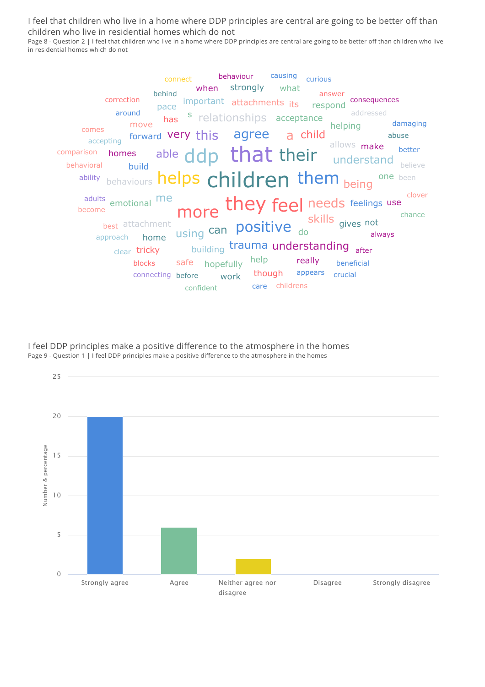I feel that children who live in a home where DDP principles are central are going to be better off than children who live in residential homes which do not

Page 8 - Question 2 | I feel that children who live in a home where DDP principles are central are going to be better off than children who live in residential homes which do not

| behaviour causing<br>curious<br>connect                                                                                                                                                                                                                                                                                                                                                  |
|------------------------------------------------------------------------------------------------------------------------------------------------------------------------------------------------------------------------------------------------------------------------------------------------------------------------------------------------------------------------------------------|
| when strongly what<br>behind<br>answer<br>correction<br>consequences<br>important attachments its respond<br>pace<br>around<br>addressed<br>has <sup>s</sup> relationships acceptance<br>damaging<br>move<br>helping<br>comes<br>forward very this agree a child<br>abuse and a buse<br>accepting forward very unis agreed their allows make<br>better<br>believe<br>behavioral<br>build |
| behaviours helps children them being one been<br>ability                                                                                                                                                                                                                                                                                                                                 |
| clover<br>adults emotional me more they feel needs feelings use<br>best attachment using can positive do skills gives not always<br>become<br>chance<br>building trauma understanding after<br>clear tricky<br>help really beneficial<br>blocks safe hopefully<br>connecting before work though appears<br>crucial<br>childrens<br>care<br>confident                                     |

I feel DDP principles make a positive difference to the atmosphere in the homes Page 9 - Question 1 | I feel DDP principles make a positive difference to the atmosphere in the homes

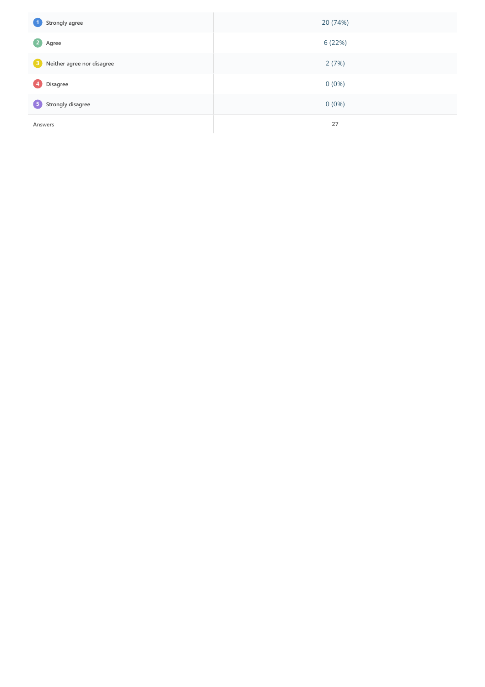| $\bullet$<br>Strongly agree             | 20 (74%) |
|-----------------------------------------|----------|
| $\mathbf{2}$<br>Agree                   | 6 (22%)  |
| <sup>3</sup> Neither agree nor disagree | 2(7%)    |
| Ø<br>Disagree                           | $0(0\%)$ |
| 5 Strongly disagree                     | $0(0\%)$ |
| Answers                                 | 27       |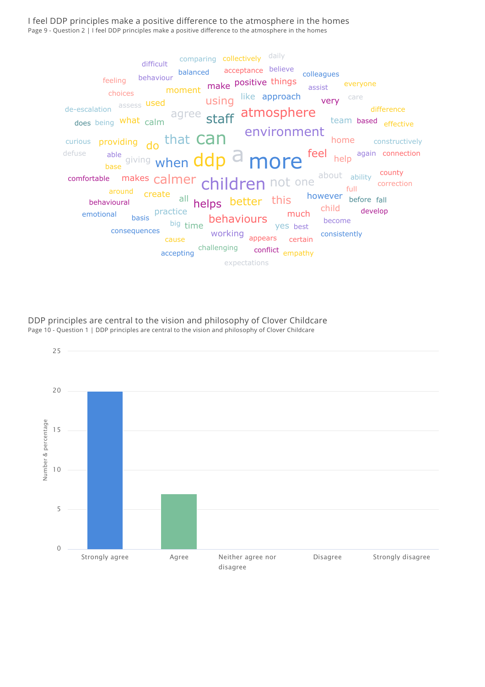I feel DDP principles make a positive difference to the atmosphere in the homes Page 9 - Question 2 | I feel DDP principles make a positive difference to the atmosphere in the homes



DDP principles are central to the vision and philosophy of Clover Childcare Page 10 - Question 1 | DDP principles are central to the vision and philosophy of Clover Childcare

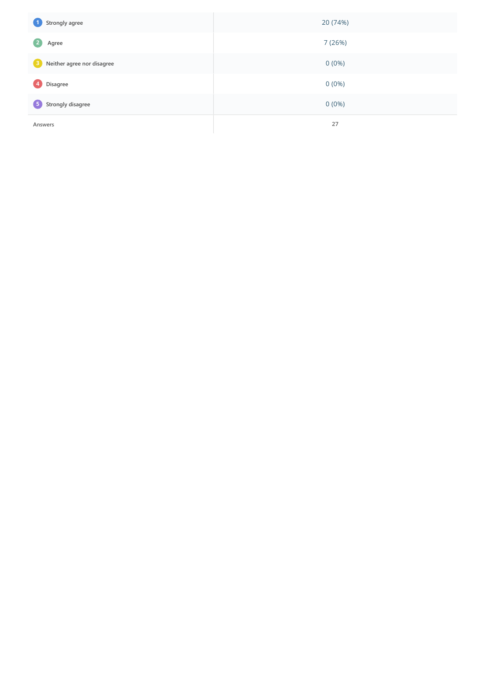| $\bullet$<br>Strongly agree             | 20 (74%) |
|-----------------------------------------|----------|
| $\mathbf{2}$<br>Agree                   | 7 (26%)  |
| <sup>3</sup> Neither agree nor disagree | $0(0\%)$ |
| Ø<br>Disagree                           | $0(0\%)$ |
| 5 Strongly disagree                     | $0(0\%)$ |
| Answers                                 | 27       |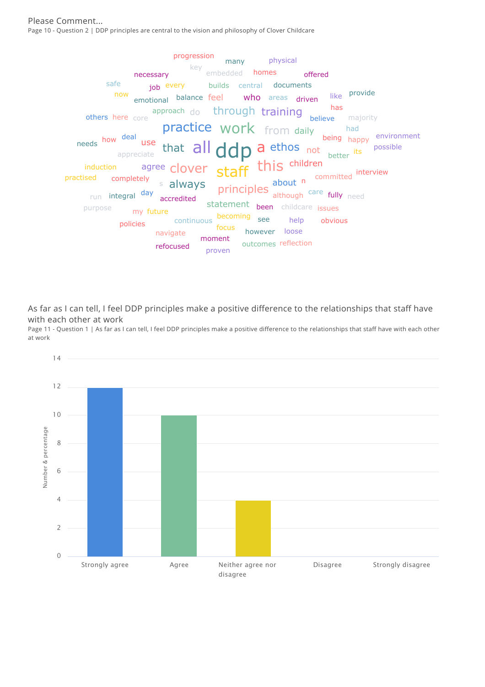Please Comment... Page 10 - Question 2 | DDP principles are central to the vision and philosophy of Clover Childcare



As far as I can tell, I feel DDP principles make a positive difference to the relationships that staff have with each other at work

Page 11 - Question 1 | As far as I can tell, I feel DDP principles make a positive difference to the relationships that staff have with each other at work

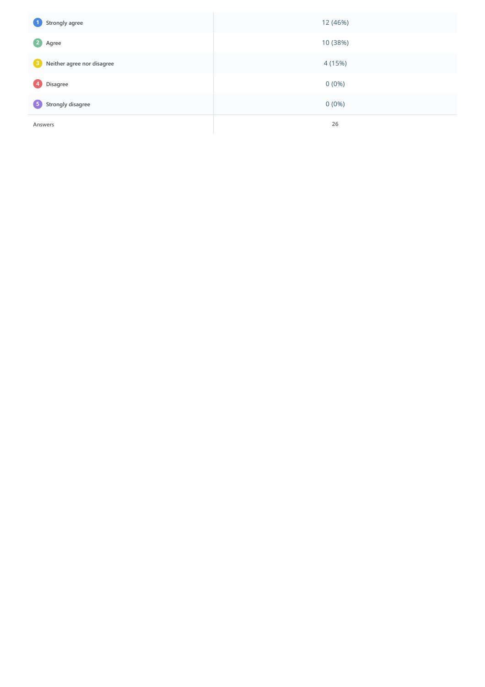| 0<br>Strongly agree             | 12 (46%) |
|---------------------------------|----------|
| 2<br>Agree                      | 10 (38%) |
| €<br>Neither agree nor disagree | 4 (15%)  |
| $\left  \right $<br>Disagree    | $0(0\%)$ |
| 5 Strongly disagree             | $0(0\%)$ |
| Answers                         | 26       |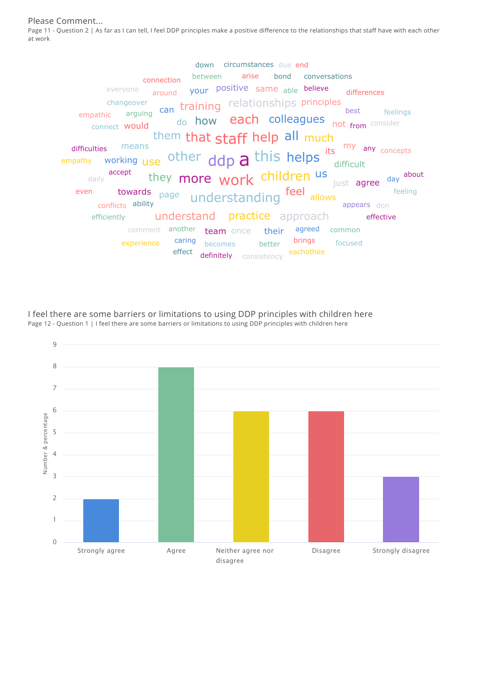Please Comment...

Page 11 - Question 2 | As far as I can tell, I feel DDP principles make a positive difference to the relationships that staff have with each other at work



I feel there are some barriers or limitations to using DDP principles with children here Page 12 - Question 1 | I feel there are some barriers or limitations to using DDP principles with children here

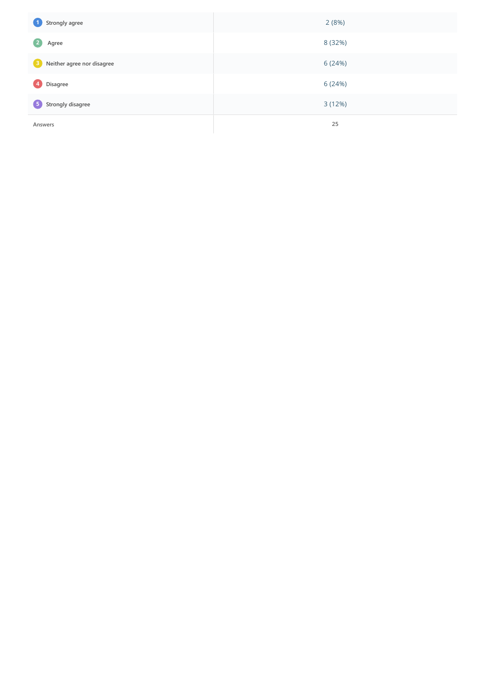| $\bullet$<br>Strongly agree                | 2(8%)   |
|--------------------------------------------|---------|
| $\overline{2}$<br>Agree                    | 8 (32%) |
| Neither agree nor disagree<br>$\mathbf{3}$ | 6 (24%) |
| $\left( 4 \right)$<br>Disagree             | 6 (24%) |
| 5 Strongly disagree                        | 3(12%)  |
| Answers                                    | 25      |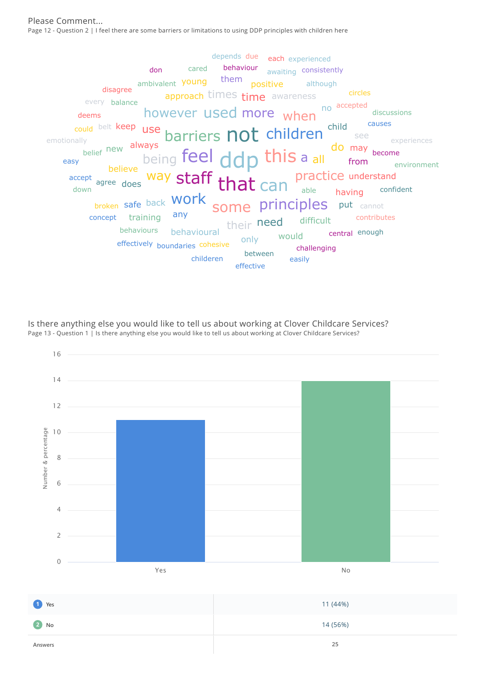Please Comment... Page 12 - Question 2 | I feel there are some barriers or limitations to using DDP principles with children here



Is there anything else you would like to tell us about working at Clover Childcare Services? Page 13 - Question 1 | Is there anything else you would like to tell us about working at Clover Childcare Services?



**Answers 25**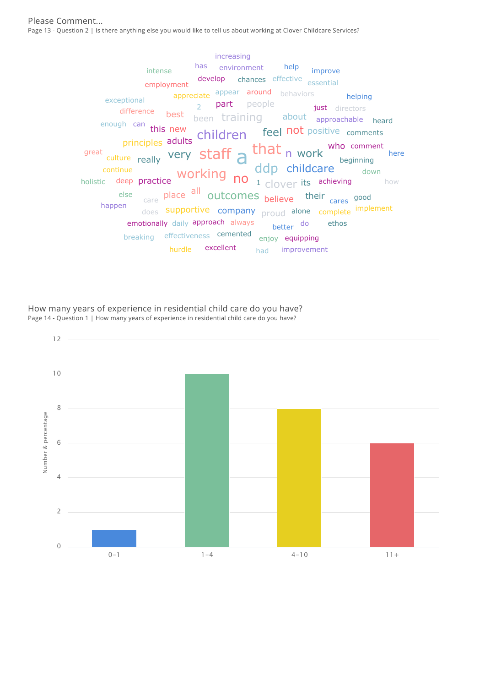$\frac{1}{\text{culture}}$  really very staff a very staff  $\lambda$  that n work ddp childcare working <sub>no</sub> adults children feel not positive comments holistic deep practice  $\begin{bmatrix} 1 & 0 \\ 0 & 1 \end{bmatrix}$  and  $\begin{bmatrix} 1 & 0 \\ 0 & 1 \end{bmatrix}$  and  $\begin{bmatrix} 0 \\ 0 \end{bmatrix}$  are its achieving how all outcomes been training <sub>care</sub> place <sup>an</sup> Outcomes <sub>believe</sub> their <sub>cares</sub> good about approachable <sub>does</sub> supportive company <sub>proud</sub> alone complete <sup>implement</sup> new part people deep practice principles this who comment best 2 emotionally daily approach always appreciate appear around behaviors beginning better <sup>do</sup> just directors enough can breaking effectiveness cemented develop chances effective <sub>essential</sub> continue difference  $\overline{a}$  directors directors down else employment enjoy equipping has environment ethos hurdle excellent exceptional great had improvement happen heard help helping here improve increasing intense

How many years of experience in residential child care do you have? Page 14 - Question 1 | How many years of experience in residential child care do you have?

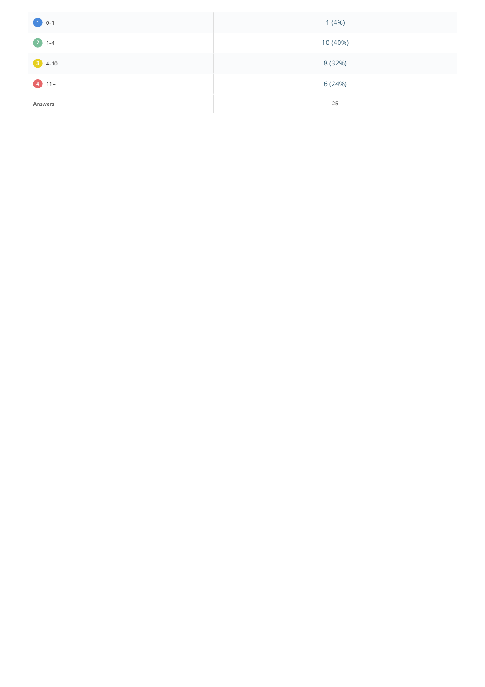| $\bullet$ 0-1 | 1(4%)    |
|---------------|----------|
| $21-4$        | 10 (40%) |
| 3 4-10        | 8 (32%)  |
| $411+$        | 6 (24%)  |
| Answers       | 25       |